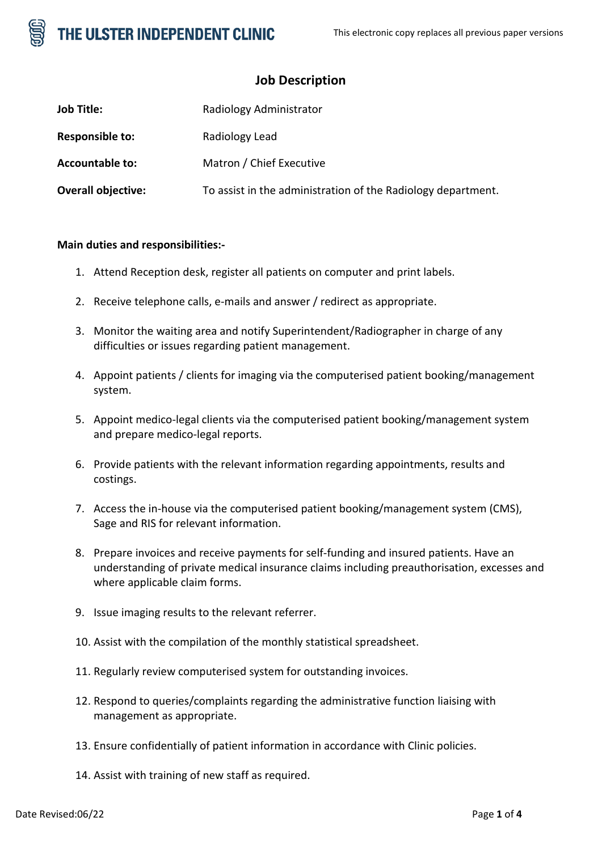

# **Job Description**

| <b>Job Title:</b>         | Radiology Administrator                                      |
|---------------------------|--------------------------------------------------------------|
| <b>Responsible to:</b>    | Radiology Lead                                               |
| <b>Accountable to:</b>    | Matron / Chief Executive                                     |
| <b>Overall objective:</b> | To assist in the administration of the Radiology department. |

## **Main duties and responsibilities:-**

- 1. Attend Reception desk, register all patients on computer and print labels.
- 2. Receive telephone calls, e-mails and answer / redirect as appropriate.
- 3. Monitor the waiting area and notify Superintendent/Radiographer in charge of any difficulties or issues regarding patient management.
- 4. Appoint patients / clients for imaging via the computerised patient booking/management system.
- 5. Appoint medico-legal clients via the computerised patient booking/management system and prepare medico-legal reports.
- 6. Provide patients with the relevant information regarding appointments, results and costings.
- 7. Access the in-house via the computerised patient booking/management system (CMS), Sage and RIS for relevant information.
- 8. Prepare invoices and receive payments for self-funding and insured patients. Have an understanding of private medical insurance claims including preauthorisation, excesses and where applicable claim forms.
- 9. Issue imaging results to the relevant referrer.
- 10. Assist with the compilation of the monthly statistical spreadsheet.
- 11. Regularly review computerised system for outstanding invoices.
- 12. Respond to queries/complaints regarding the administrative function liaising with management as appropriate.
- 13. Ensure confidentially of patient information in accordance with Clinic policies.
- 14. Assist with training of new staff as required.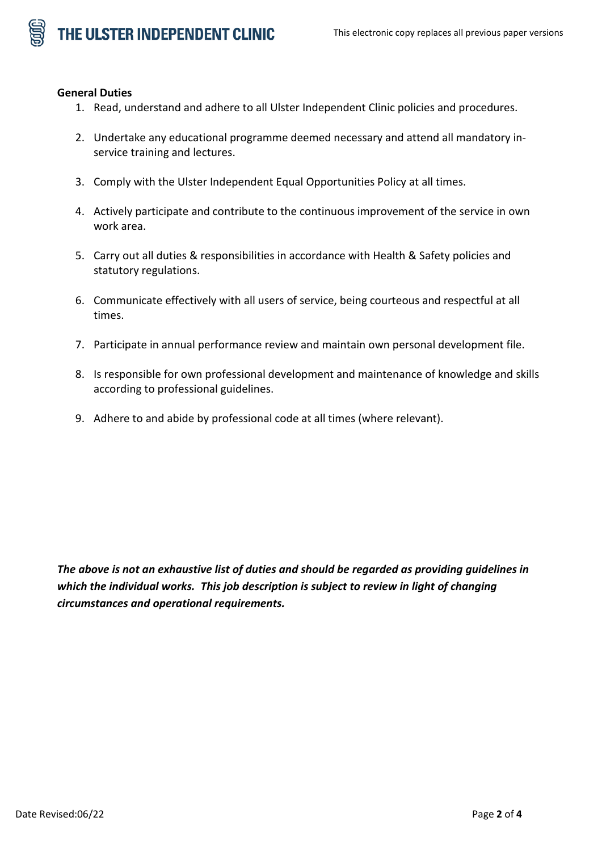#### **General Duties**

- 1. Read, understand and adhere to all Ulster Independent Clinic policies and procedures.
- 2. Undertake any educational programme deemed necessary and attend all mandatory inservice training and lectures.
- 3. Comply with the Ulster Independent Equal Opportunities Policy at all times.
- 4. Actively participate and contribute to the continuous improvement of the service in own work area.
- 5. Carry out all duties & responsibilities in accordance with Health & Safety policies and statutory regulations.
- 6. Communicate effectively with all users of service, being courteous and respectful at all times.
- 7. Participate in annual performance review and maintain own personal development file.
- 8. Is responsible for own professional development and maintenance of knowledge and skills according to professional guidelines.
- 9. Adhere to and abide by professional code at all times (where relevant).

*The above is not an exhaustive list of duties and should be regarded as providing guidelines in which the individual works. This job description is subject to review in light of changing circumstances and operational requirements.*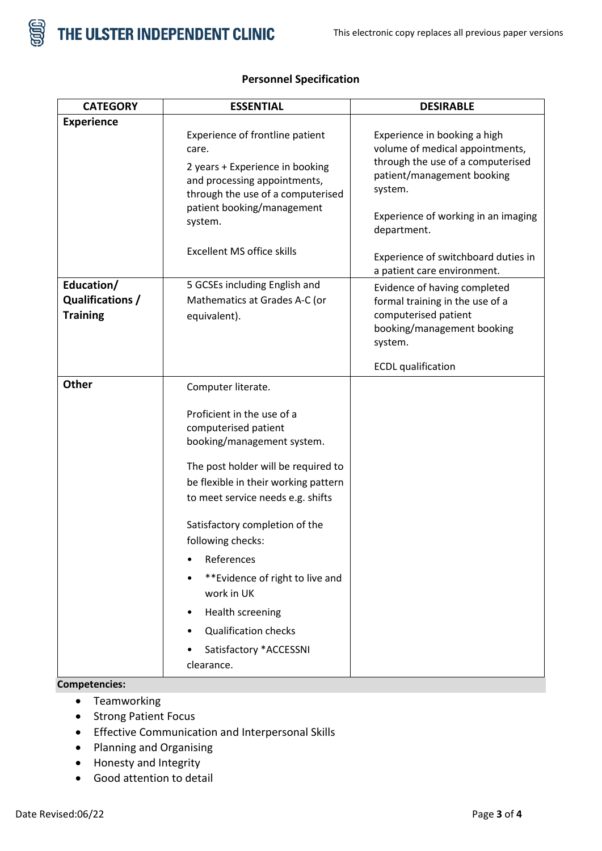

| <b>Experience</b>                                 | Experience of frontline patient<br>care.<br>2 years + Experience in booking<br>and processing appointments,<br>through the use of a computerised<br>patient booking/management<br>system.                                                                                                                                                                                                                                                          | Experience in booking a high<br>volume of medical appointments,<br>through the use of a computerised<br>patient/management booking<br>system.<br>Experience of working in an imaging |
|---------------------------------------------------|----------------------------------------------------------------------------------------------------------------------------------------------------------------------------------------------------------------------------------------------------------------------------------------------------------------------------------------------------------------------------------------------------------------------------------------------------|--------------------------------------------------------------------------------------------------------------------------------------------------------------------------------------|
|                                                   | <b>Excellent MS office skills</b>                                                                                                                                                                                                                                                                                                                                                                                                                  | department.<br>Experience of switchboard duties in<br>a patient care environment.                                                                                                    |
| Education/<br>Qualifications /<br><b>Training</b> | 5 GCSEs including English and<br>Mathematics at Grades A-C (or<br>equivalent).                                                                                                                                                                                                                                                                                                                                                                     | Evidence of having completed<br>formal training in the use of a<br>computerised patient<br>booking/management booking<br>system.<br><b>ECDL</b> qualification                        |
| <b>Other</b><br>Competencies:                     | Computer literate.<br>Proficient in the use of a<br>computerised patient<br>booking/management system.<br>The post holder will be required to<br>be flexible in their working pattern<br>to meet service needs e.g. shifts<br>Satisfactory completion of the<br>following checks:<br>References<br>**Evidence of right to live and<br>work in UK<br><b>Health screening</b><br><b>Qualification checks</b><br>Satisfactory *ACCESSNI<br>clearance. |                                                                                                                                                                                      |

# **Personnel Specification**

- - Teamworking
	- Strong Patient Focus
	- Effective Communication and Interpersonal Skills
	- Planning and Organising
	- Honesty and Integrity
	- Good attention to detail